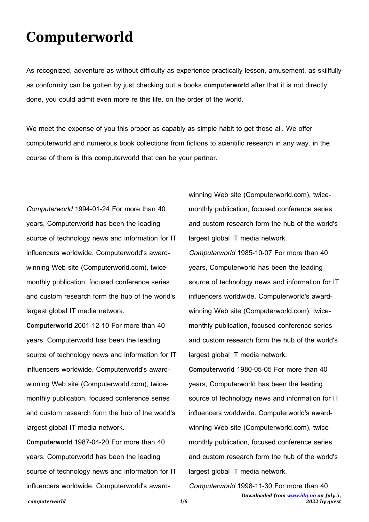## **Computerworld**

As recognized, adventure as without difficulty as experience practically lesson, amusement, as skillfully as conformity can be gotten by just checking out a books **computerworld** after that it is not directly done, you could admit even more re this life, on the order of the world.

We meet the expense of you this proper as capably as simple habit to get those all. We offer computerworld and numerous book collections from fictions to scientific research in any way. in the course of them is this computerworld that can be your partner.

Computerworld 1994-01-24 For more than 40 years, Computerworld has been the leading source of technology news and information for IT influencers worldwide. Computerworld's awardwinning Web site (Computerworld.com), twicemonthly publication, focused conference series and custom research form the hub of the world's largest global IT media network.

**Computerworld** 2001-12-10 For more than 40 years, Computerworld has been the leading source of technology news and information for IT influencers worldwide. Computerworld's awardwinning Web site (Computerworld.com), twicemonthly publication, focused conference series and custom research form the hub of the world's largest global IT media network.

**Computerworld** 1987-04-20 For more than 40 years, Computerworld has been the leading source of technology news and information for IT influencers worldwide. Computerworld's awardwinning Web site (Computerworld.com), twicemonthly publication, focused conference series and custom research form the hub of the world's largest global IT media network. Computerworld 1985-10-07 For more than 40

years, Computerworld has been the leading source of technology news and information for IT influencers worldwide. Computerworld's awardwinning Web site (Computerworld.com), twicemonthly publication, focused conference series and custom research form the hub of the world's largest global IT media network.

**Computerworld** 1980-05-05 For more than 40 years, Computerworld has been the leading source of technology news and information for IT influencers worldwide. Computerworld's awardwinning Web site (Computerworld.com), twicemonthly publication, focused conference series and custom research form the hub of the world's largest global IT media network.

Computerworld 1998-11-30 For more than 40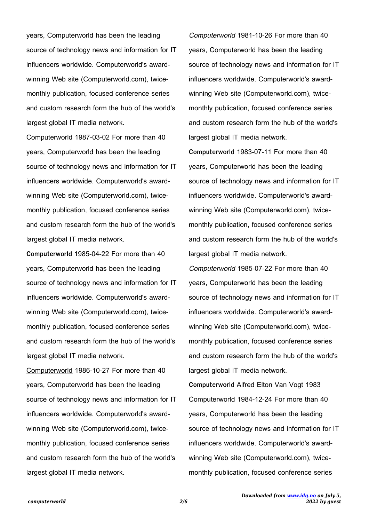years, Computerworld has been the leading source of technology news and information for IT influencers worldwide. Computerworld's awardwinning Web site (Computerworld.com), twicemonthly publication, focused conference series and custom research form the hub of the world's largest global IT media network.

Computerworld 1987-03-02 For more than 40 years, Computerworld has been the leading source of technology news and information for IT influencers worldwide. Computerworld's awardwinning Web site (Computerworld.com), twicemonthly publication, focused conference series and custom research form the hub of the world's largest global IT media network.

**Computerworld** 1985-04-22 For more than 40 years, Computerworld has been the leading source of technology news and information for IT influencers worldwide. Computerworld's awardwinning Web site (Computerworld.com), twicemonthly publication, focused conference series and custom research form the hub of the world's largest global IT media network.

Computerworld 1986-10-27 For more than 40 years, Computerworld has been the leading source of technology news and information for IT influencers worldwide. Computerworld's awardwinning Web site (Computerworld.com), twicemonthly publication, focused conference series and custom research form the hub of the world's largest global IT media network.

Computerworld 1981-10-26 For more than 40 years, Computerworld has been the leading source of technology news and information for IT influencers worldwide. Computerworld's awardwinning Web site (Computerworld.com), twicemonthly publication, focused conference series and custom research form the hub of the world's largest global IT media network.

**Computerworld** 1983-07-11 For more than 40 years, Computerworld has been the leading source of technology news and information for IT influencers worldwide. Computerworld's awardwinning Web site (Computerworld.com), twicemonthly publication, focused conference series and custom research form the hub of the world's largest global IT media network.

Computerworld 1985-07-22 For more than 40 years, Computerworld has been the leading source of technology news and information for IT influencers worldwide. Computerworld's awardwinning Web site (Computerworld.com), twicemonthly publication, focused conference series and custom research form the hub of the world's largest global IT media network.

**Computerworld** Alfred Elton Van Vogt 1983 Computerworld 1984-12-24 For more than 40 years, Computerworld has been the leading source of technology news and information for IT influencers worldwide. Computerworld's awardwinning Web site (Computerworld.com), twicemonthly publication, focused conference series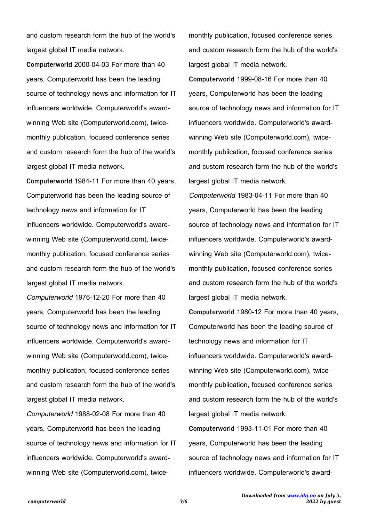and custom research form the hub of the world's largest global IT media network.

**Computerworld** 2000-04-03 For more than 40 years, Computerworld has been the leading source of technology news and information for IT influencers worldwide. Computerworld's awardwinning Web site (Computerworld.com), twicemonthly publication, focused conference series and custom research form the hub of the world's largest global IT media network.

**Computerworld** 1984-11 For more than 40 years, Computerworld has been the leading source of technology news and information for IT influencers worldwide. Computerworld's awardwinning Web site (Computerworld.com), twicemonthly publication, focused conference series and custom research form the hub of the world's largest global IT media network.

Computerworld 1976-12-20 For more than 40 years, Computerworld has been the leading source of technology news and information for IT influencers worldwide. Computerworld's awardwinning Web site (Computerworld.com), twicemonthly publication, focused conference series and custom research form the hub of the world's largest global IT media network.

Computerworld 1988-02-08 For more than 40 years, Computerworld has been the leading source of technology news and information for IT influencers worldwide. Computerworld's awardwinning Web site (Computerworld.com), twice-

monthly publication, focused conference series and custom research form the hub of the world's largest global IT media network.

**Computerworld** 1999-08-16 For more than 40 years, Computerworld has been the leading source of technology news and information for IT influencers worldwide. Computerworld's awardwinning Web site (Computerworld.com), twicemonthly publication, focused conference series and custom research form the hub of the world's largest global IT media network.

Computerworld 1983-04-11 For more than 40 years, Computerworld has been the leading source of technology news and information for IT influencers worldwide. Computerworld's awardwinning Web site (Computerworld.com), twicemonthly publication, focused conference series and custom research form the hub of the world's largest global IT media network.

**Computerworld** 1980-12 For more than 40 years, Computerworld has been the leading source of technology news and information for IT influencers worldwide. Computerworld's awardwinning Web site (Computerworld.com), twicemonthly publication, focused conference series and custom research form the hub of the world's largest global IT media network.

**Computerworld** 1993-11-01 For more than 40 years, Computerworld has been the leading source of technology news and information for IT influencers worldwide. Computerworld's award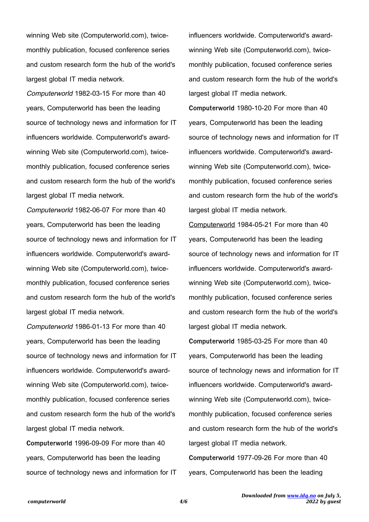winning Web site (Computerworld.com), twicemonthly publication, focused conference series and custom research form the hub of the world's largest global IT media network.

Computerworld 1982-03-15 For more than 40 years, Computerworld has been the leading source of technology news and information for IT influencers worldwide. Computerworld's awardwinning Web site (Computerworld.com), twicemonthly publication, focused conference series and custom research form the hub of the world's largest global IT media network.

Computerworld 1982-06-07 For more than 40 years, Computerworld has been the leading source of technology news and information for IT influencers worldwide. Computerworld's awardwinning Web site (Computerworld.com), twicemonthly publication, focused conference series and custom research form the hub of the world's largest global IT media network.

Computerworld 1986-01-13 For more than 40 years, Computerworld has been the leading source of technology news and information for IT influencers worldwide. Computerworld's awardwinning Web site (Computerworld.com), twicemonthly publication, focused conference series and custom research form the hub of the world's largest global IT media network.

**Computerworld** 1996-09-09 For more than 40 years, Computerworld has been the leading source of technology news and information for IT influencers worldwide. Computerworld's awardwinning Web site (Computerworld.com), twicemonthly publication, focused conference series and custom research form the hub of the world's largest global IT media network.

**Computerworld** 1980-10-20 For more than 40 years, Computerworld has been the leading source of technology news and information for IT influencers worldwide. Computerworld's awardwinning Web site (Computerworld.com), twicemonthly publication, focused conference series and custom research form the hub of the world's largest global IT media network.

Computerworld 1984-05-21 For more than 40 years, Computerworld has been the leading source of technology news and information for IT influencers worldwide. Computerworld's awardwinning Web site (Computerworld.com), twicemonthly publication, focused conference series and custom research form the hub of the world's largest global IT media network.

**Computerworld** 1985-03-25 For more than 40 years, Computerworld has been the leading source of technology news and information for IT influencers worldwide. Computerworld's awardwinning Web site (Computerworld.com), twicemonthly publication, focused conference series and custom research form the hub of the world's largest global IT media network. **Computerworld** 1977-09-26 For more than 40 years, Computerworld has been the leading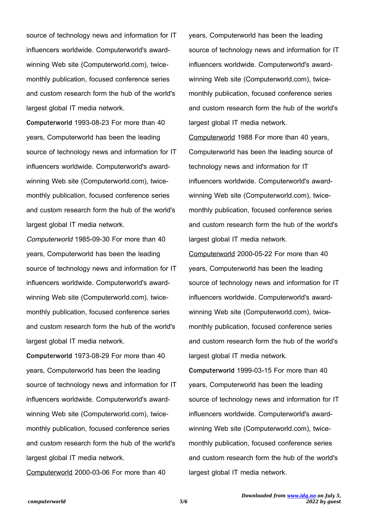source of technology news and information for IT influencers worldwide. Computerworld's awardwinning Web site (Computerworld.com), twicemonthly publication, focused conference series and custom research form the hub of the world's largest global IT media network.

**Computerworld** 1993-08-23 For more than 40 years, Computerworld has been the leading source of technology news and information for IT influencers worldwide. Computerworld's awardwinning Web site (Computerworld.com), twicemonthly publication, focused conference series and custom research form the hub of the world's largest global IT media network.

Computerworld 1985-09-30 For more than 40 years, Computerworld has been the leading source of technology news and information for IT influencers worldwide. Computerworld's awardwinning Web site (Computerworld.com), twicemonthly publication, focused conference series and custom research form the hub of the world's largest global IT media network.

**Computerworld** 1973-08-29 For more than 40 years, Computerworld has been the leading source of technology news and information for IT influencers worldwide. Computerworld's awardwinning Web site (Computerworld.com), twicemonthly publication, focused conference series and custom research form the hub of the world's largest global IT media network.

Computerworld 2000-03-06 For more than 40

years, Computerworld has been the leading source of technology news and information for IT influencers worldwide. Computerworld's awardwinning Web site (Computerworld.com), twicemonthly publication, focused conference series and custom research form the hub of the world's largest global IT media network.

Computerworld 1988 For more than 40 years, Computerworld has been the leading source of technology news and information for IT influencers worldwide. Computerworld's awardwinning Web site (Computerworld.com), twicemonthly publication, focused conference series and custom research form the hub of the world's largest global IT media network.

Computerworld 2000-05-22 For more than 40 years, Computerworld has been the leading source of technology news and information for IT influencers worldwide. Computerworld's awardwinning Web site (Computerworld.com), twicemonthly publication, focused conference series and custom research form the hub of the world's largest global IT media network.

**Computerworld** 1999-03-15 For more than 40 years, Computerworld has been the leading source of technology news and information for IT influencers worldwide. Computerworld's awardwinning Web site (Computerworld.com), twicemonthly publication, focused conference series and custom research form the hub of the world's largest global IT media network.